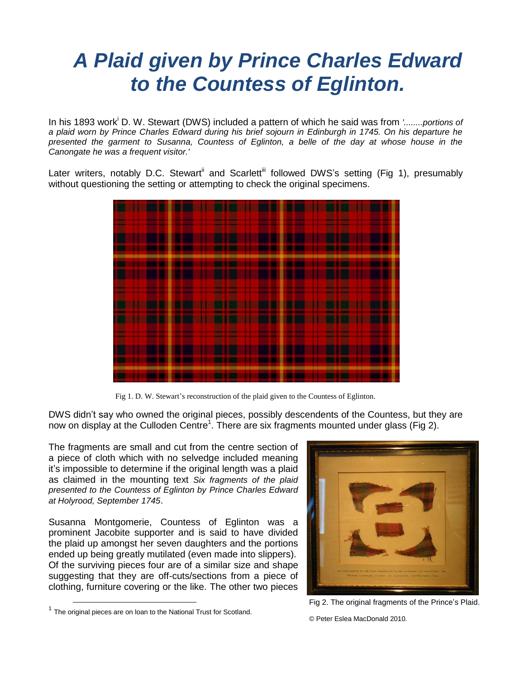## *A Plaid given by Prince Charles Edward to the Countess of Eglinton.*

In his 1893 work<sup>i</sup> D. W. Stewart (DWS) included a pattern of which he said was from *'........portions of a plaid worn by Prince Charles Edward during his brief sojourn in Edinburgh in 1745. On his departure he presented the garment to Susanna, Countess of Eglinton, a belle of the day at whose house in the Canongate he was a frequent visitor.'*

Later writers, notably D.C. Stewart<sup>ii</sup> and Scarlett<sup>iii</sup> followed DWS's setting (Fig 1), presumably without questioning the setting or attempting to check the original specimens.



Fig 1. D. W. Stewart's reconstruction of the plaid given to the Countess of Eglinton.

DWS didn't say who owned the original pieces, possibly descendents of the Countess, but they are now on display at the Culloden Centre<sup>1</sup>. There are six fragments mounted under glass (Fig 2).

The fragments are small and cut from the centre section of a piece of cloth which with no selvedge included meaning it's impossible to determine if the original length was a plaid as claimed in the mounting text *Six fragments of the plaid presented to the Countess of Eglinton by Prince Charles Edward at Holyrood, September 1745*.

Susanna Montgomerie, Countess of Eglinton was a prominent Jacobite supporter and is said to have divided the plaid up amongst her seven daughters and the portions ended up being greatly mutilated (even made into slippers). Of the surviving pieces four are of a similar size and shape suggesting that they are off-cuts/sections from a piece of clothing, furniture covering or the like. The other two pieces

Fig 2. The original fragments of the Prince's Plaid.

 $\overline{\phantom{a}}$ 

© Peter Eslea MacDonald 2010.

 $1$  The original pieces are on loan to the National Trust for Scotland.